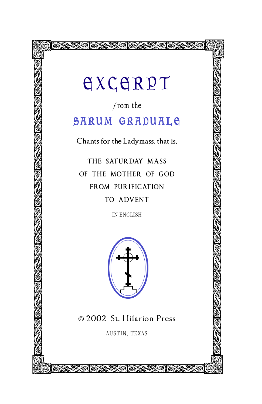## **GXCGRPT**

**BARKARAKAN SEBASA SEBA** 

 $f$ rom the

## SARUM GRADUALE

Chants for the Ladymass, that is,

THE SATURDAY MASS OF THE MOTHER OF GOD FROM PURIFICATION TO ADVENT

IN ENGLISH



© 2002 St. Hilarion Press

AUSTIN, TEXAS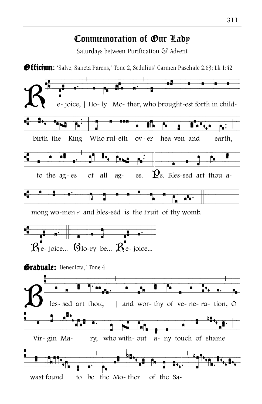## Commemoration of Our Lady

Saturdays between Purification & Advent

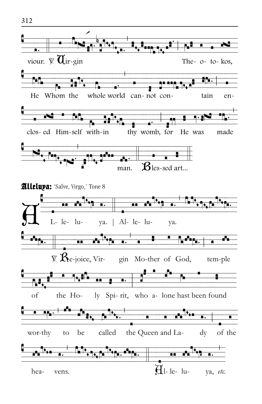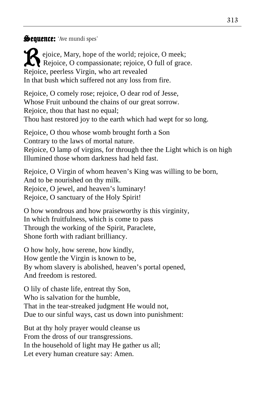## Sequence: 'Ave mundi spes'

Rejoice, Mary, hope of the world; rejoice, O meek; Rejoice, O compassionate; rejoice, O full of grace. Rejoice, peerless Virgin, who art revealed In that bush which suffered not any loss from fire.

Rejoice, O comely rose; rejoice, O dear rod of Jesse, Whose Fruit unbound the chains of our great sorrow. Rejoice, thou that hast no equal; Thou hast restored joy to the earth which had wept for so long.

Rejoice, O thou whose womb brought forth a Son Contrary to the laws of mortal nature. Rejoice, O lamp of virgins, for through thee the Light which is on high Illumined those whom darkness had held fast.

Rejoice, O Virgin of whom heaven's King was willing to be born, And to be nourished on thy milk. Rejoice, O jewel, and heaven's luminary! Rejoice, O sanctuary of the Holy Spirit!

O how wondrous and how praiseworthy is this virginity, In which fruitfulness, which is come to pass Through the working of the Spirit, Paraclete, Shone forth with radiant brilliancy.

O how holy, how serene, how kindly, How gentle the Virgin is known to be, By whom slavery is abolished, heaven's portal opened, And freedom is restored.

O lily of chaste life, entreat thy Son, Who is salvation for the humble, That in the tear-streaked judgment He would not, Due to our sinful ways, cast us down into punishment:

But at thy holy prayer would cleanse us From the dross of our transgressions. In the household of light may He gather us all; Let every human creature say: Amen.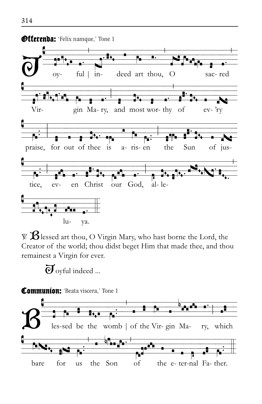

 $\mathbb{X}$   $\mathbf{\mathcal{B}}$  lessed art thou, O Virgin Mary, who hast borne the Lord, the Creator of the world; thou didst beget Him that made thee, and thou remainest a Virgin for ever.

 $\overline{O}$  ovful indeed ...

Communion: 'Beata viscera,' Tone 1